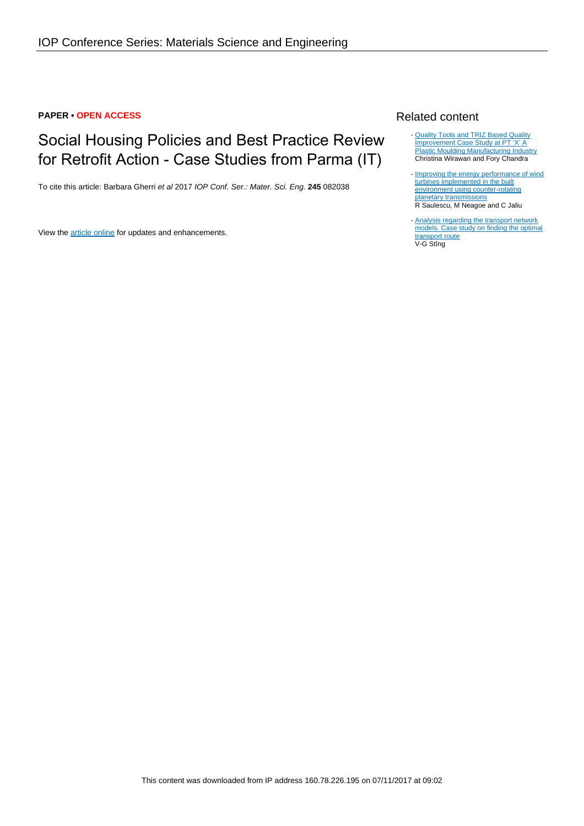## **PAPER • OPEN ACCESS**

# Social Housing Policies and Best Practice Review for Retrofit Action - Case Studies from Parma (IT)

To cite this article: Barbara Gherri et al 2017 IOP Conf. Ser.: Mater. Sci. Eng. **245** 082038

View the [article online](https://doi.org/10.1088/1757-899X/245/8/082038) for updates and enhancements.

# Related content

- **[Quality Tools and TRIZ Based Quality](http://iopscience.iop.org/article/10.1088/1757-899X/114/1/012059)** [Improvement Case Study at PT 'X' A](http://iopscience.iop.org/article/10.1088/1757-899X/114/1/012059) **[Plastic Moulding Manufacturing Industry](http://iopscience.iop.org/article/10.1088/1757-899X/114/1/012059)** Christina Wirawan and Fory Chandra
- [Improving the energy performance of wind](http://iopscience.iop.org/article/10.1088/1757-899X/147/1/012089) [turbines implemented in the built](http://iopscience.iop.org/article/10.1088/1757-899X/147/1/012089) [environment using counter-rotating](http://iopscience.iop.org/article/10.1088/1757-899X/147/1/012089) [planetary transmissions](http://iopscience.iop.org/article/10.1088/1757-899X/147/1/012089) R Saulescu, M Neagoe and C Jaliu
- [Analysis regarding the transport network](http://iopscience.iop.org/article/10.1088/1757-899X/227/1/012124) [models. Case study on finding the optimal](http://iopscience.iop.org/article/10.1088/1757-899X/227/1/012124) [transport route](http://iopscience.iop.org/article/10.1088/1757-899X/227/1/012124) V-G Stîng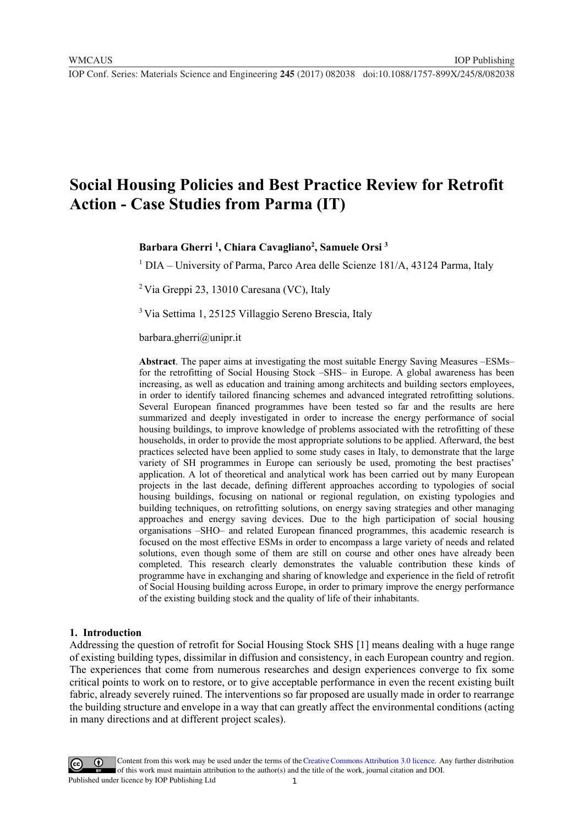# **Social Housing Policies and Best Practice Review for Retrofit Action - Case Studies from Parma (IT)**

**Barbara Gherri 1 , Chiara Cavagliano2 , Samuele Orsi 3**

<sup>1</sup> DIA – University of Parma, Parco Area delle Scienze 181/A, 43124 Parma, Italy

 $2$  Via Greppi 23, 13010 Caresana (VC), Italy

3 Via Settima 1, 25125 Villaggio Sereno Brescia, Italy

barbara.gherri@unipr.it

**Abstract**. The paper aims at investigating the most suitable Energy Saving Measures –ESMs– for the retrofitting of Social Housing Stock –SHS– in Europe. A global awareness has been increasing, as well as education and training among architects and building sectors employees, in order to identify tailored financing schemes and advanced integrated retrofitting solutions. Several European financed programmes have been tested so far and the results are here summarized and deeply investigated in order to increase the energy performance of social housing buildings, to improve knowledge of problems associated with the retrofitting of these households, in order to provide the most appropriate solutions to be applied. Afterward, the best practices selected have been applied to some study cases in Italy, to demonstrate that the large variety of SH programmes in Europe can seriously be used, promoting the best practises' application. A lot of theoretical and analytical work has been carried out by many European projects in the last decade, defining different approaches according to typologies of social housing buildings, focusing on national or regional regulation, on existing typologies and building techniques, on retrofitting solutions, on energy saving strategies and other managing approaches and energy saving devices. Due to the high participation of social housing organisations –SHO– and related European financed programmes, this academic research is focused on the most effective ESMs in order to encompass a large variety of needs and related solutions, even though some of them are still on course and other ones have already been completed. This research clearly demonstrates the valuable contribution these kinds of programme have in exchanging and sharing of knowledge and experience in the field of retrofit of Social Housing building across Europe, in order to primary improve the energy performance of the existing building stock and the quality of life of their inhabitants.

#### **1. Introduction**

Addressing the question of retrofit for Social Housing Stock SHS [1] means dealing with a huge range of existing building types, dissimilar in diffusion and consistency, in each European country and region. The experiences that come from numerous researches and design experiences converge to fix some critical points to work on to restore, or to give acceptable performance in even the recent existing built fabric, already severely ruined. The interventions so far proposed are usually made in order to rearrange the building structure and envelope in a way that can greatly affect the environmental conditions (acting in many directions and at different project scales).



Content from this work may be used under the terms of the[Creative Commons Attribution 3.0 licence.](http://creativecommons.org/licenses/by/3.0) Any further distribution of this work must maintain attribution to the author(s) and the title of the work, journal citation and DOI. Published under licence by IOP Publishing Ltd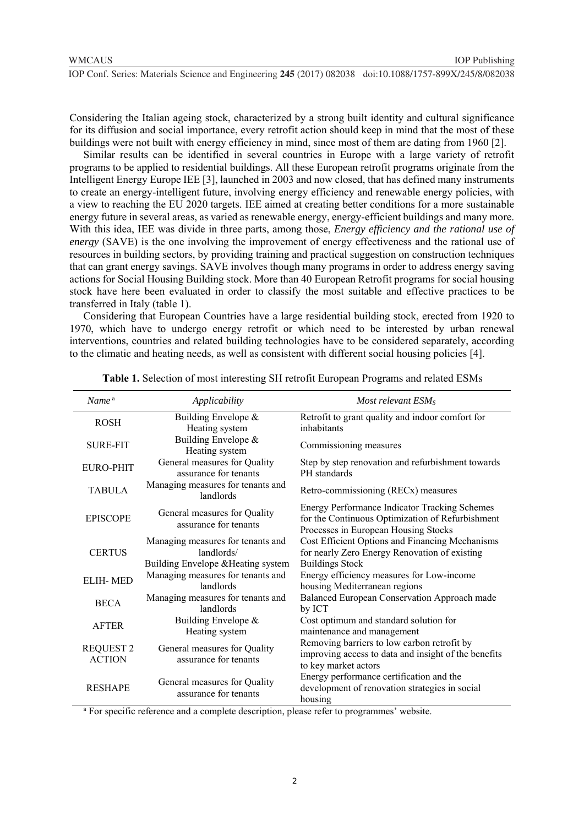Considering the Italian ageing stock, characterized by a strong built identity and cultural significance for its diffusion and social importance, every retrofit action should keep in mind that the most of these buildings were not built with energy efficiency in mind, since most of them are dating from 1960 [2].

Similar results can be identified in several countries in Europe with a large variety of retrofit programs to be applied to residential buildings. All these European retrofit programs originate from the Intelligent Energy Europe IEE [3], launched in 2003 and now closed, that has defined many instruments to create an energy-intelligent future, involving energy efficiency and renewable energy policies, with a view to reaching the EU 2020 targets. IEE aimed at creating better conditions for a more sustainable energy future in several areas, as varied as renewable energy, energy-efficient buildings and many more. With this idea, IEE was divide in three parts, among those, *Energy efficiency and the rational use of energy* (SAVE) is the one involving the improvement of energy effectiveness and the rational use of resources in building sectors, by providing training and practical suggestion on construction techniques that can grant energy savings. SAVE involves though many programs in order to address energy saving actions for Social Housing Building stock. More than 40 European Retrofit programs for social housing stock have here been evaluated in order to classify the most suitable and effective practices to be transferred in Italy (table 1).

Considering that European Countries have a large residential building stock, erected from 1920 to 1970, which have to undergo energy retrofit or which need to be interested by urban renewal interventions, countries and related building technologies have to be considered separately, according to the climatic and heating needs, as well as consistent with different social housing policies [4].

| Name <sup>a</sup> | Applicability                                                                                        | Most relevant $ESMS$                                                                     |  |  |  |  |
|-------------------|------------------------------------------------------------------------------------------------------|------------------------------------------------------------------------------------------|--|--|--|--|
| <b>ROSH</b>       | Building Envelope &                                                                                  | Retrofit to grant quality and indoor comfort for                                         |  |  |  |  |
|                   | Heating system                                                                                       | inhabitants                                                                              |  |  |  |  |
| <b>SURE-FIT</b>   | Building Envelope &<br>Heating system                                                                | Commissioning measures                                                                   |  |  |  |  |
| <b>EURO-PHIT</b>  | General measures for Quality<br>assurance for tenants                                                | Step by step renovation and refurbishment towards<br>PH standards                        |  |  |  |  |
|                   | Managing measures for tenants and                                                                    |                                                                                          |  |  |  |  |
| <b>TABULA</b>     | landlords                                                                                            | Retro-commissioning (RECx) measures                                                      |  |  |  |  |
|                   | General measures for Quality                                                                         | <b>Energy Performance Indicator Tracking Schemes</b>                                     |  |  |  |  |
| <b>EPISCOPE</b>   | assurance for tenants                                                                                | for the Continuous Optimization of Refurbishment<br>Processes in European Housing Stocks |  |  |  |  |
|                   | Managing measures for tenants and                                                                    | Cost Efficient Options and Financing Mechanisms                                          |  |  |  |  |
| <b>CERTUS</b>     | landlords/                                                                                           | for nearly Zero Energy Renovation of existing                                            |  |  |  |  |
|                   | Building Envelope & Heating system                                                                   | <b>Buildings Stock</b>                                                                   |  |  |  |  |
|                   | Managing measures for tenants and                                                                    | Energy efficiency measures for Low-income                                                |  |  |  |  |
| <b>ELIH-MED</b>   | landlords                                                                                            | housing Mediterranean regions                                                            |  |  |  |  |
|                   | Managing measures for tenants and                                                                    | Balanced European Conservation Approach made                                             |  |  |  |  |
| <b>BECA</b>       | landlords                                                                                            | by ICT                                                                                   |  |  |  |  |
|                   | Building Envelope &                                                                                  | Cost optimum and standard solution for                                                   |  |  |  |  |
| <b>AFTER</b>      | Heating system                                                                                       | maintenance and management                                                               |  |  |  |  |
|                   |                                                                                                      | Removing barriers to low carbon retrofit by                                              |  |  |  |  |
| <b>REQUEST 2</b>  | General measures for Quality<br>assurance for tenants                                                | improving access to data and insight of the benefits                                     |  |  |  |  |
| <b>ACTION</b>     |                                                                                                      | to key market actors                                                                     |  |  |  |  |
|                   | General measures for Quality                                                                         | Energy performance certification and the                                                 |  |  |  |  |
| <b>RESHAPE</b>    | assurance for tenants                                                                                | development of renovation strategies in social                                           |  |  |  |  |
|                   |                                                                                                      | housing                                                                                  |  |  |  |  |
|                   | <sup>a</sup> For specific reference and a complete description, please refer to programmes' website. |                                                                                          |  |  |  |  |

**Table 1.** Selection of most interesting SH retrofit European Programs and related ESMs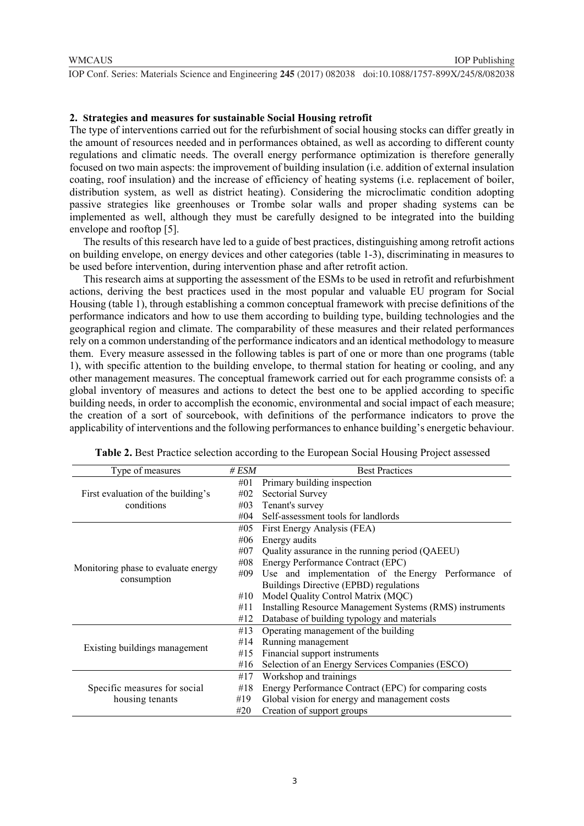### **2. Strategies and measures for sustainable Social Housing retrofit**

The type of interventions carried out for the refurbishment of social housing stocks can differ greatly in the amount of resources needed and in performances obtained, as well as according to different county regulations and climatic needs. The overall energy performance optimization is therefore generally focused on two main aspects: the improvement of building insulation (i.e. addition of external insulation coating, roof insulation) and the increase of efficiency of heating systems (i.e. replacement of boiler, distribution system, as well as district heating). Considering the microclimatic condition adopting passive strategies like greenhouses or Trombe solar walls and proper shading systems can be implemented as well, although they must be carefully designed to be integrated into the building envelope and rooftop [5].

The results of this research have led to a guide of best practices, distinguishing among retrofit actions on building envelope, on energy devices and other categories (table 1-3), discriminating in measures to be used before intervention, during intervention phase and after retrofit action.

This research aims at supporting the assessment of the ESMs to be used in retrofit and refurbishment actions, deriving the best practices used in the most popular and valuable EU program for Social Housing (table 1), through establishing a common conceptual framework with precise definitions of the performance indicators and how to use them according to building type, building technologies and the geographical region and climate. The comparability of these measures and their related performances rely on a common understanding of the performance indicators and an identical methodology to measure them. Every measure assessed in the following tables is part of one or more than one programs (table 1), with specific attention to the building envelope, to thermal station for heating or cooling, and any other management measures. The conceptual framework carried out for each programme consists of: a global inventory of measures and actions to detect the best one to be applied according to specific building needs, in order to accomplish the economic, environmental and social impact of each measure; the creation of a sort of sourcebook, with definitions of the performance indicators to prove the applicability of interventions and the following performances to enhance building's energetic behaviour.

| Type of measures                    | # $ESM$ | <b>Best Practices</b>                                    |
|-------------------------------------|---------|----------------------------------------------------------|
|                                     | #01     | Primary building inspection                              |
| First evaluation of the building's  | #02     | Sectorial Survey                                         |
| conditions                          | #03     | Tenant's survey                                          |
|                                     | #04     | Self-assessment tools for landlords                      |
|                                     | #05     | First Energy Analysis (FEA)                              |
|                                     | #06     | Energy audits                                            |
|                                     | #07     | Quality assurance in the running period (QAEEU)          |
| Monitoring phase to evaluate energy | #08     | Energy Performance Contract (EPC)                        |
| consumption                         | #09     | Use and implementation of the Energy Performance of      |
|                                     |         | Buildings Directive (EPBD) regulations                   |
|                                     | #10     | Model Quality Control Matrix (MQC)                       |
|                                     | #11     | Installing Resource Management Systems (RMS) instruments |
|                                     | #12     | Database of building typology and materials              |
|                                     | #13     | Operating management of the building                     |
| Existing buildings management       | #14     | Running management                                       |
|                                     | #15     | Financial support instruments                            |
|                                     | #16     | Selection of an Energy Services Companies (ESCO)         |
|                                     | #17     | Workshop and trainings                                   |
| Specific measures for social        | #18     | Energy Performance Contract (EPC) for comparing costs    |
| housing tenants                     | #19     | Global vision for energy and management costs            |
|                                     | #20     | Creation of support groups                               |

**Table 2.** Best Practice selection according to the European Social Housing Project assessed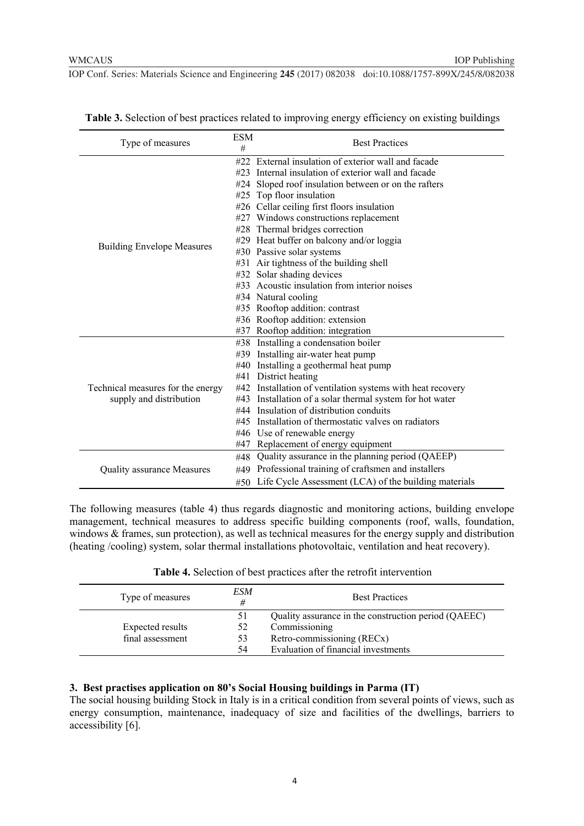| Type of measures                  |     | <b>ESM</b><br><b>Best Practices</b>                        |
|-----------------------------------|-----|------------------------------------------------------------|
|                                   |     | #22 External insulation of exterior wall and facade        |
|                                   | #23 | Internal insulation of exterior wall and facade            |
|                                   | #24 | Sloped roof insulation between or on the rafters           |
|                                   |     | #25 Top floor insulation                                   |
|                                   |     | #26 Cellar ceiling first floors insulation                 |
|                                   |     | #27 Windows constructions replacement                      |
|                                   |     | #28 Thermal bridges correction                             |
|                                   |     | #29 Heat buffer on balcony and/or loggia                   |
| <b>Building Envelope Measures</b> |     | #30 Passive solar systems                                  |
|                                   |     | #31 Air tightness of the building shell                    |
|                                   |     | #32 Solar shading devices                                  |
|                                   |     | #33 Acoustic insulation from interior noises               |
|                                   |     | #34 Natural cooling                                        |
|                                   |     | #35 Rooftop addition: contrast                             |
|                                   |     | #36 Rooftop addition: extension                            |
|                                   |     | #37 Rooftop addition: integration                          |
|                                   | #38 | Installing a condensation boiler                           |
|                                   |     | #39 Installing air-water heat pump                         |
|                                   | #40 | Installing a geothermal heat pump                          |
|                                   | #41 | District heating                                           |
| Technical measures for the energy |     | #42 Installation of ventilation systems with heat recovery |
| supply and distribution           |     | #43 Installation of a solar thermal system for hot water   |
|                                   | #44 | Insulation of distribution conduits                        |
|                                   |     | #45 Installation of thermostatic valves on radiators       |
|                                   |     | #46 Use of renewable energy                                |
|                                   | #47 | Replacement of energy equipment                            |
|                                   | #48 | Quality assurance in the planning period (QAEEP)           |
| Quality assurance Measures        | #49 | Professional training of craftsmen and installers          |
|                                   | #50 | Life Cycle Assessment (LCA) of the building materials      |

**Table 3.** Selection of best practices related to improving energy efficiency on existing buildings

The following measures (table 4) thus regards diagnostic and monitoring actions, building envelope management, technical measures to address specific building components (roof, walls, foundation, windows & frames, sun protection), as well as technical measures for the energy supply and distribution (heating /cooling) system, solar thermal installations photovoltaic, ventilation and heat recovery).

| Type of measures | ESM<br># | <b>Best Practices</b>                                |
|------------------|----------|------------------------------------------------------|
|                  | 51       | Quality assurance in the construction period (QAEEC) |
| Expected results | 52       | Commissioning                                        |
| final assessment | 53       | Retro-commissioning (RECx)                           |
|                  | 54       | Evaluation of financial investments                  |

**Table 4.** Selection of best practices after the retrofit intervention

# **3. Best practises application on 80's Social Housing buildings in Parma (IT)**

The social housing building Stock in Italy is in a critical condition from several points of views, such as energy consumption, maintenance, inadequacy of size and facilities of the dwellings, barriers to accessibility [6].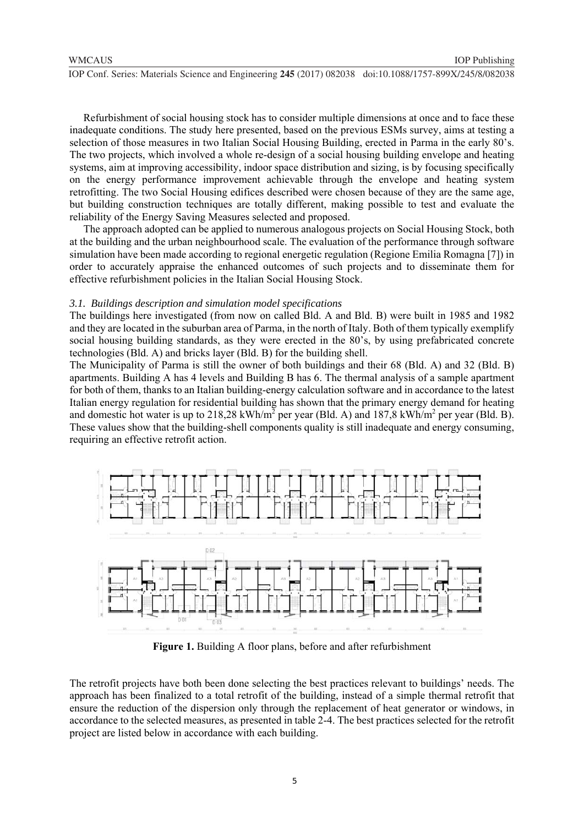Refurbishment of social housing stock has to consider multiple dimensions at once and to face these inadequate conditions. The study here presented, based on the previous ESMs survey, aims at testing a selection of those measures in two Italian Social Housing Building, erected in Parma in the early 80's. The two projects, which involved a whole re-design of a social housing building envelope and heating systems, aim at improving accessibility, indoor space distribution and sizing, is by focusing specifically on the energy performance improvement achievable through the envelope and heating system retrofitting. The two Social Housing edifices described were chosen because of they are the same age, but building construction techniques are totally different, making possible to test and evaluate the reliability of the Energy Saving Measures selected and proposed.

The approach adopted can be applied to numerous analogous projects on Social Housing Stock, both at the building and the urban neighbourhood scale. The evaluation of the performance through software simulation have been made according to regional energetic regulation (Regione Emilia Romagna [7]) in order to accurately appraise the enhanced outcomes of such projects and to disseminate them for effective refurbishment policies in the Italian Social Housing Stock.

#### *3.1. Buildings description and simulation model specifications*

The buildings here investigated (from now on called Bld. A and Bld. B) were built in 1985 and 1982 and they are located in the suburban area of Parma, in the north of Italy. Both of them typically exemplify social housing building standards, as they were erected in the 80's, by using prefabricated concrete technologies (Bld. A) and bricks layer (Bld. B) for the building shell.

The Municipality of Parma is still the owner of both buildings and their 68 (Bld. A) and 32 (Bld. B) apartments. Building A has 4 levels and Building B has 6. The thermal analysis of a sample apartment for both of them, thanks to an Italian building-energy calculation software and in accordance to the latest Italian energy regulation for residential building has shown that the primary energy demand for heating and domestic hot water is up to 218,28 kWh/m<sup>2</sup> per year (Bld. A) and 187,8 kWh/m<sup>2</sup> per year (Bld. B). These values show that the building-shell components quality is still inadequate and energy consuming, requiring an effective retrofit action.



**Figure 1.** Building A floor plans, before and after refurbishment

The retrofit projects have both been done selecting the best practices relevant to buildings' needs. The approach has been finalized to a total retrofit of the building, instead of a simple thermal retrofit that ensure the reduction of the dispersion only through the replacement of heat generator or windows, in accordance to the selected measures, as presented in table 2-4. The best practices selected for the retrofit project are listed below in accordance with each building.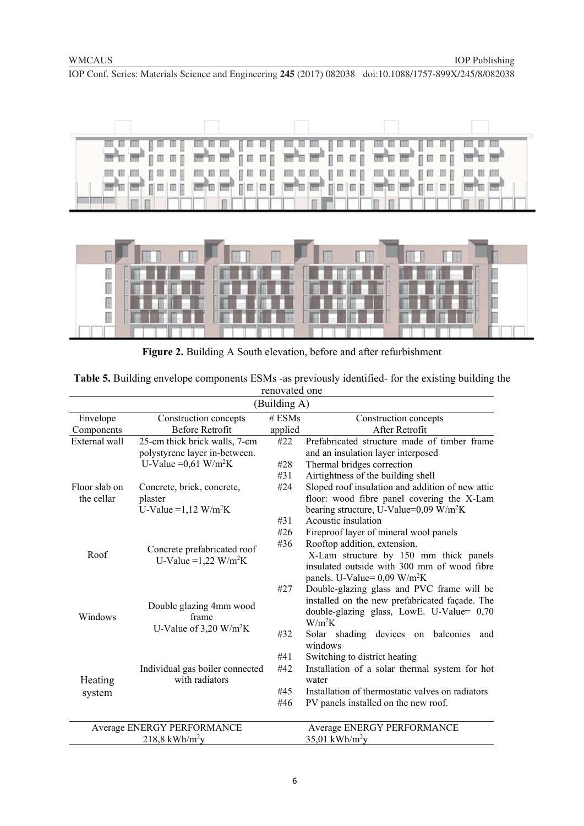

| ш              |  | <b>EL LES</b> |                 | <b>Line</b> |             | 1.1.1 |  | <b>EL BELL</b> |  |  |
|----------------|--|---------------|-----------------|-------------|-------------|-------|--|----------------|--|--|
| m<br>ш         |  |               |                 |             | -           |       |  |                |  |  |
| $\overline{ }$ |  |               | Classic Connect |             | <b>Send</b> |       |  |                |  |  |
|                |  |               |                 |             | -           |       |  |                |  |  |
| $\frac{1}{2}$  |  |               |                 |             |             |       |  |                |  |  |
|                |  |               |                 |             |             |       |  |                |  |  |

**Figure 2.** Building A South elevation, before and after refurbishment

|               |                                                                    | renovated one |                                                          |
|---------------|--------------------------------------------------------------------|---------------|----------------------------------------------------------|
|               |                                                                    | (Building A)  |                                                          |
| Envelope      | Construction concepts                                              | $#$ ESMs      | Construction concepts                                    |
| Components    | Before Retrofit                                                    | applied       | After Retrofit                                           |
| External wall | 25-cm thick brick walls, 7-cm                                      | #22           | Prefabricated structure made of timber frame             |
|               | polystyrene layer in-between.                                      |               | and an insulation layer interposed                       |
|               | U-Value = $0.61$ W/m <sup>2</sup> K                                | #28           | Thermal bridges correction                               |
|               |                                                                    | #31           | Airtightness of the building shell                       |
| Floor slab on | Concrete, brick, concrete,                                         | #24           | Sloped roof insulation and addition of new attic         |
| the cellar    | plaster                                                            |               | floor: wood fibre panel covering the X-Lam               |
|               | U-Value = $1,12$ W/m <sup>2</sup> K                                |               | bearing structure, U-Value= $0.09 \text{ W/m}^2\text{K}$ |
|               |                                                                    | #31           | Acoustic insulation                                      |
| Roof          |                                                                    | #26           | Fireproof layer of mineral wool panels                   |
|               | Concrete prefabricated roof<br>U-Value = $1,22$ W/m <sup>2</sup> K | #36           | Rooftop addition, extension.                             |
|               |                                                                    |               | X-Lam structure by 150 mm thick panels                   |
|               |                                                                    |               | insulated outside with 300 mm of wood fibre              |
|               |                                                                    |               | panels. U-Value= $0.09$ W/m <sup>2</sup> K               |
|               |                                                                    | #27           | Double-glazing glass and PVC frame will be               |
|               | Double glazing 4mm wood                                            |               | installed on the new prefabricated façade. The           |
| Windows       | frame                                                              |               | double-glazing glass, LowE. U-Value= 0,70                |
|               | U-Value of $3,20$ W/m <sup>2</sup> K                               |               | $W/m^2K$                                                 |
|               |                                                                    | #32           | Solar shading devices on balconies<br>and                |
|               |                                                                    |               | windows                                                  |
|               |                                                                    | #41           | Switching to district heating                            |
|               | Individual gas boiler connected                                    | #42           | Installation of a solar thermal system for hot           |
| Heating       | with radiators                                                     |               | water                                                    |
| system        |                                                                    | #45           | Installation of thermostatic valves on radiators         |
|               |                                                                    | #46           | PV panels installed on the new roof.                     |
|               | Average ENERGY PERFORMANCE                                         |               | Average ENERGY PERFORMANCE                               |
|               | $218,8$ kWh/m <sup>2</sup> y                                       |               | $35,01$ kWh/m <sup>2</sup> y                             |

**Table 5.** Building envelope components ESMs -as previously identified- for the existing building the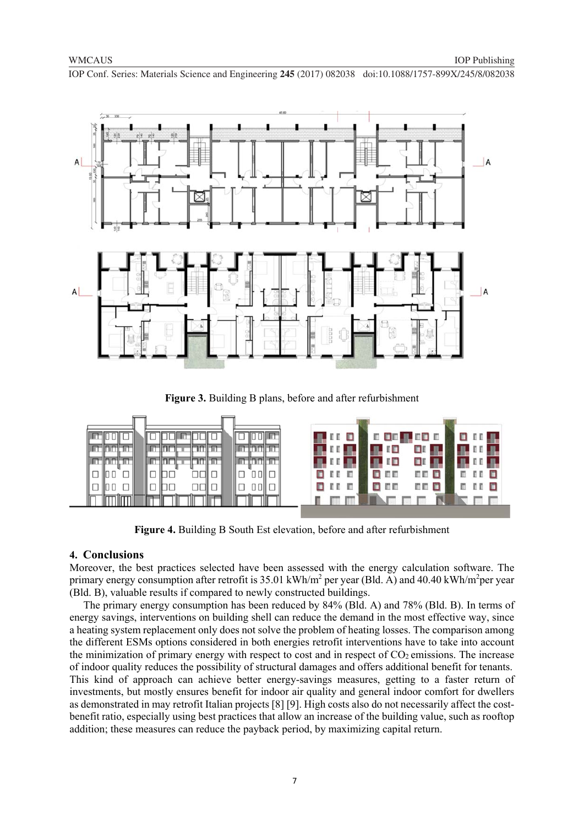

**Figure 3.** Building B plans, before and after refurbishment

| <b>FEBOOLO</b>    | 000 <b>m</b>                                | <b>In the fill, in the fil</b><br>.  | <b>MARK</b>    |
|-------------------|---------------------------------------------|--------------------------------------|----------------|
| <b>In ham</b>     | <b>Indian Lat</b><br>اساسط                  | <b>MR</b><br>$R$ in                  |                |
| <b>Indian and</b> | <b>Indian</b><br>اسراسيل<br><b>Industry</b> | 81. TO<br>orl                        |                |
| $\Box$ oo         | ہ اوت<br>0000                               | 0110<br>田田 国<br>百日日                  | $\blacksquare$ |
|                   | $\Box$<br>ПΕ                                | $\blacksquare$<br>日 田田<br><b>BBB</b> | $\blacksquare$ |
|                   | ПII                                         |                                      |                |

**Figure 4.** Building B South Est elevation, before and after refurbishment

# **4. Conclusions**

Moreover, the best practices selected have been assessed with the energy calculation software. The primary energy consumption after retrofit is  $35.01 \text{ kWh/m}^2$  per year (Bld. A) and 40.40 kWh/m<sup>2</sup> per year (Bld. B), valuable results if compared to newly constructed buildings.

The primary energy consumption has been reduced by 84% (Bld. A) and 78% (Bld. B). In terms of energy savings, interventions on building shell can reduce the demand in the most effective way, since a heating system replacement only does not solve the problem of heating losses. The comparison among the different ESMs options considered in both energies retrofit interventions have to take into account the minimization of primary energy with respect to cost and in respect of  $CO<sub>2</sub>$  emissions. The increase of indoor quality reduces the possibility of structural damages and offers additional benefit for tenants. This kind of approach can achieve better energy-savings measures, getting to a faster return of investments, but mostly ensures benefit for indoor air quality and general indoor comfort for dwellers as demonstrated in may retrofit Italian projects [8] [9]. High costs also do not necessarily affect the costbenefit ratio, especially using best practices that allow an increase of the building value, such as rooftop addition; these measures can reduce the payback period, by maximizing capital return.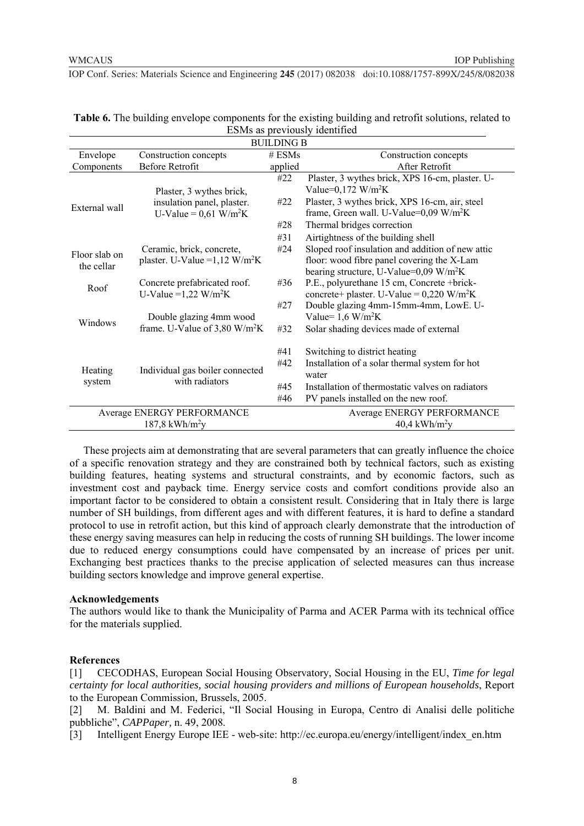| <b>BUILDING B</b> |                                              |         |                                                          |  |  |  |  |
|-------------------|----------------------------------------------|---------|----------------------------------------------------------|--|--|--|--|
| Envelope          | Construction concepts                        | # ESMs  | Construction concepts                                    |  |  |  |  |
| Components        | Before Retrofit                              | applied | After Retrofit                                           |  |  |  |  |
|                   |                                              | #22     | Plaster, 3 wythes brick, XPS 16-cm, plaster. U-          |  |  |  |  |
|                   | Plaster, 3 wythes brick,                     |         | Value= $0,172$ W/m <sup>2</sup> K                        |  |  |  |  |
| External wall     | insulation panel, plaster.                   | #22     | Plaster, 3 wythes brick, XPS 16-cm, air, steel           |  |  |  |  |
|                   | U-Value = $0.61$ W/m <sup>2</sup> K          |         | frame, Green wall. U-Value= $0.09 \text{ W/m}^2\text{K}$ |  |  |  |  |
|                   |                                              | #28     | Thermal bridges correction                               |  |  |  |  |
|                   |                                              | #31     | Airtightness of the building shell                       |  |  |  |  |
| Floor slab on     | Ceramic, brick, concrete,                    | #24     | Sloped roof insulation and addition of new attic         |  |  |  |  |
| the cellar        | plaster. U-Value = $1,12$ W/m <sup>2</sup> K |         | floor: wood fibre panel covering the X-Lam               |  |  |  |  |
|                   |                                              |         | bearing structure, U-Value= $0.09$ W/m <sup>2</sup> K    |  |  |  |  |
| Roof              | Concrete prefabricated roof.                 | #36     | P.E., polyurethane 15 cm, Concrete +brick-               |  |  |  |  |
|                   | U-Value = $1,22$ W/m <sup>2</sup> K          |         | concrete+ plaster. U-Value = $0,220$ W/m <sup>2</sup> K  |  |  |  |  |
|                   |                                              | #27     | Double glazing 4mm-15mm-4mm, LowE. U-                    |  |  |  |  |
| Windows           | Double glazing 4mm wood                      |         | Value= $1,6$ W/m <sup>2</sup> K                          |  |  |  |  |
|                   | frame. U-Value of $3,80$ W/m <sup>2</sup> K  | #32     | Solar shading devices made of external                   |  |  |  |  |
|                   |                                              |         |                                                          |  |  |  |  |
|                   |                                              | #41     | Switching to district heating                            |  |  |  |  |
| Heating           | Individual gas boiler connected              | #42     | Installation of a solar thermal system for hot<br>water  |  |  |  |  |
| system            | with radiators                               | #45     | Installation of thermostatic valves on radiators         |  |  |  |  |
|                   |                                              | #46     | PV panels installed on the new roof.                     |  |  |  |  |
|                   | Average ENERGY PERFORMANCE                   |         | Average ENERGY PERFORMANCE                               |  |  |  |  |
|                   | $187,8 \text{ kWh/m}^2$ y                    |         | 40,4 kWh/m <sup>2</sup> y                                |  |  |  |  |

| Table 6. The building envelope components for the existing building and retrofit solutions, related to |                               |  |  |  |  |
|--------------------------------------------------------------------------------------------------------|-------------------------------|--|--|--|--|
|                                                                                                        | ESMs as previously identified |  |  |  |  |

These projects aim at demonstrating that are several parameters that can greatly influence the choice of a specific renovation strategy and they are constrained both by technical factors, such as existing building features, heating systems and structural constraints, and by economic factors, such as investment cost and payback time. Energy service costs and comfort conditions provide also an important factor to be considered to obtain a consistent result. Considering that in Italy there is large number of SH buildings, from different ages and with different features, it is hard to define a standard protocol to use in retrofit action, but this kind of approach clearly demonstrate that the introduction of these energy saving measures can help in reducing the costs of running SH buildings. The lower income due to reduced energy consumptions could have compensated by an increase of prices per unit. Exchanging best practices thanks to the precise application of selected measures can thus increase building sectors knowledge and improve general expertise.

### **Acknowledgements**

The authors would like to thank the Municipality of Parma and ACER Parma with its technical office for the materials supplied.

## **References**

[1] CECODHAS, European Social Housing Observatory, Social Housing in the EU, *Time for legal certainty for local authorities, social housing providers and millions of European households*, Report to the European Commission, Brussels, 2005.

[2] M. Baldini and M. Federici, "Il Social Housing in Europa, Centro di Analisi delle politiche pubbliche", *CAPPaper,* n. 49, 2008.

[3] Intelligent Energy Europe IEE - web-site: http://ec.europa.eu/energy/intelligent/index\_en.htm